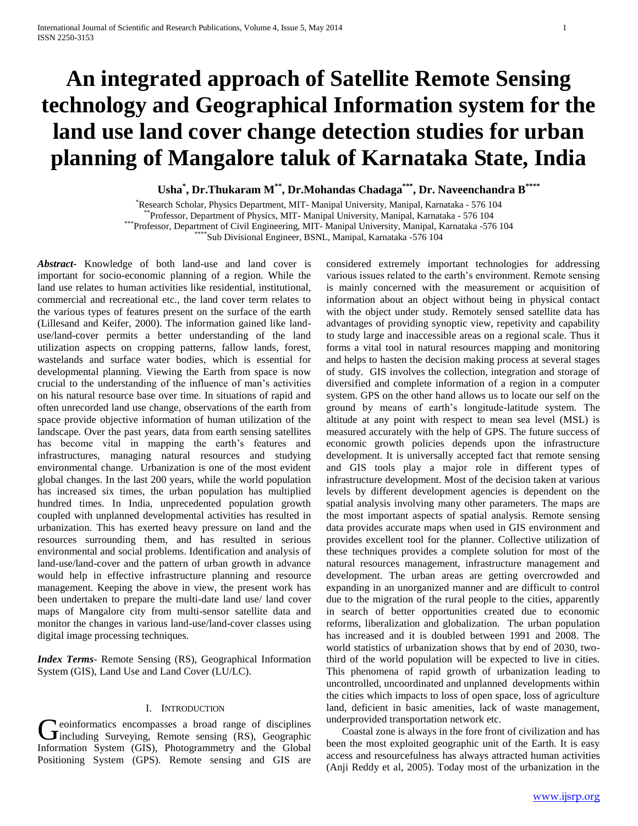# **An integrated approach of Satellite Remote Sensing technology and Geographical Information system for the land use land cover change detection studies for urban planning of Mangalore taluk of Karnataka State, India**

**Usha\* , Dr.Thukaram M\*\*, Dr.Mohandas Chadaga\*\*\*, Dr. Naveenchandra B\*\*\*\***

\*Research Scholar, Physics Department, MIT- Manipal University, Manipal, Karnataka - 576 104 \*\*Professor, Department of Physics, MIT- Manipal University, Manipal, Karnataka - 576 104 \*\*\*Professor, Department of Civil Engineering, MIT- Manipal University, Manipal, Karnataka -576 104 \*Sub Divisional Engineer, BSNL, Manipal, Karnataka -576 104

*Abstract***-** Knowledge of both land-use and land cover is important for socio-economic planning of a region. While the land use relates to human activities like residential, institutional, commercial and recreational etc., the land cover term relates to the various types of features present on the surface of the earth (Lillesand and Keifer, 2000). The information gained like landuse/land-cover permits a better understanding of the land utilization aspects on cropping patterns, fallow lands, forest, wastelands and surface water bodies, which is essential for developmental planning. Viewing the Earth from space is now crucial to the understanding of the influence of man's activities on his natural resource base over time. In situations of rapid and often unrecorded land use change, observations of the earth from space provide objective information of human utilization of the landscape. Over the past years, data from earth sensing satellites has become vital in mapping the earth's features and infrastructures, managing natural resources and studying environmental change. Urbanization is one of the most evident global changes. In the last 200 years, while the world population has increased six times, the urban population has multiplied hundred times. In India, unprecedented population growth coupled with unplanned developmental activities has resulted in urbanization. This has exerted heavy pressure on land and the resources surrounding them, and has resulted in serious environmental and social problems. Identification and analysis of land-use/land-cover and the pattern of urban growth in advance would help in effective infrastructure planning and resource management. Keeping the above in view, the present work has been undertaken to prepare the multi-date land use/ land cover maps of Mangalore city from multi-sensor satellite data and monitor the changes in various land-use/land-cover classes using digital image processing techniques.

*Index Terms*- Remote Sensing (RS), Geographical Information System (GIS), Land Use and Land Cover (LU/LC).

#### I. INTRODUCTION

eoinformatics encompasses a broad range of disciplines Geoinformatics encompasses a broad range of disciplines Information System (GIS), Photogrammetry and the Global Positioning System (GPS). Remote sensing and GIS are

considered extremely important technologies for addressing various issues related to the earth's environment. Remote sensing is mainly concerned with the measurement or acquisition of information about an object without being in physical contact with the object under study. Remotely sensed satellite data has advantages of providing synoptic view, repetivity and capability to study large and inaccessible areas on a regional scale. Thus it forms a vital tool in natural resources mapping and monitoring and helps to hasten the decision making process at several stages of study. GIS involves the collection, integration and storage of diversified and complete information of a region in a computer system. GPS on the other hand allows us to locate our self on the ground by means of earth's longitude-latitude system. The altitude at any point with respect to mean sea level (MSL) is measured accurately with the help of GPS. The future success of economic growth policies depends upon the infrastructure development. It is universally accepted fact that remote sensing and GIS tools play a major role in different types of infrastructure development. Most of the decision taken at various levels by different development agencies is dependent on the spatial analysis involving many other parameters. The maps are the most important aspects of spatial analysis. Remote sensing data provides accurate maps when used in GIS environment and provides excellent tool for the planner. Collective utilization of these techniques provides a complete solution for most of the natural resources management, infrastructure management and development. The urban areas are getting overcrowded and expanding in an unorganized manner and are difficult to control due to the migration of the rural people to the cities, apparently in search of better opportunities created due to economic reforms, liberalization and globalization. The urban population has increased and it is doubled between 1991 and 2008. The world statistics of urbanization shows that by end of 2030, twothird of the world population will be expected to live in cities. This phenomena of rapid growth of urbanization leading to uncontrolled, uncoordinated and unplanned developments within the cities which impacts to loss of open space, loss of agriculture land, deficient in basic amenities, lack of waste management, underprovided transportation network etc.

 Coastal zone is always in the fore front of civilization and has been the most exploited geographic unit of the Earth. It is easy access and resourcefulness has always attracted human activities (Anji Reddy et al, 2005). Today most of the urbanization in the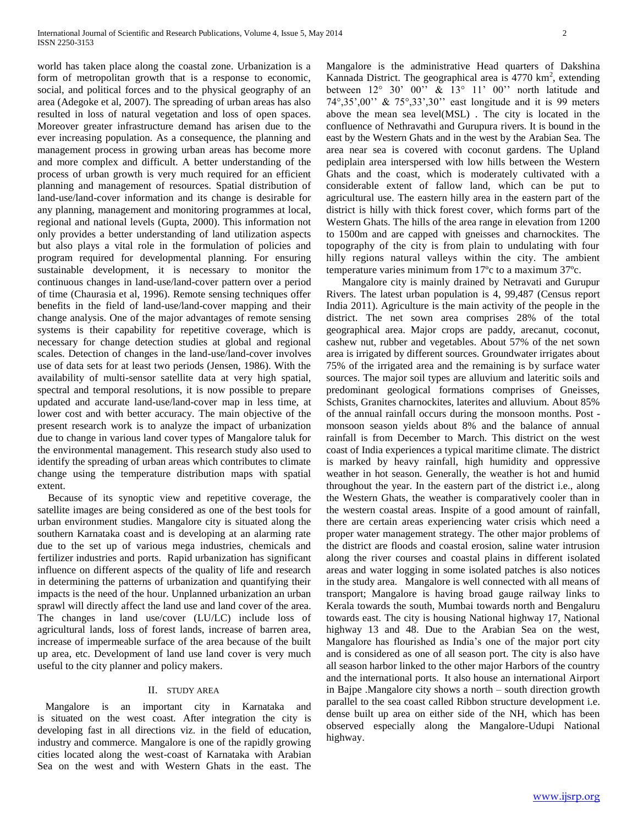world has taken place along the coastal zone. Urbanization is a form of metropolitan growth that is a response to economic, social, and political forces and to the physical geography of an area (Adegoke et al, 2007). The spreading of urban areas has also resulted in loss of natural vegetation and loss of open spaces. Moreover greater infrastructure demand has arisen due to the ever increasing population. As a consequence, the planning and management process in growing urban areas has become more and more complex and difficult. A better understanding of the process of urban growth is very much required for an efficient planning and management of resources. Spatial distribution of land-use/land-cover information and its change is desirable for any planning, management and monitoring programmes at local, regional and national levels (Gupta, 2000). This information not only provides a better understanding of land utilization aspects but also plays a vital role in the formulation of policies and program required for developmental planning. For ensuring sustainable development, it is necessary to monitor the continuous changes in land-use/land-cover pattern over a period of time (Chaurasia et al, 1996). Remote sensing techniques offer benefits in the field of land-use/land-cover mapping and their change analysis. One of the major advantages of remote sensing systems is their capability for repetitive coverage, which is necessary for change detection studies at global and regional scales. Detection of changes in the land-use/land-cover involves use of data sets for at least two periods (Jensen, 1986). With the availability of multi-sensor satellite data at very high spatial, spectral and temporal resolutions, it is now possible to prepare updated and accurate land-use/land-cover map in less time, at lower cost and with better accuracy. The main objective of the present research work is to analyze the impact of urbanization due to change in various land cover types of Mangalore taluk for the environmental management. This research study also used to identify the spreading of urban areas which contributes to climate change using the temperature distribution maps with spatial extent.

 Because of its synoptic view and repetitive coverage, the satellite images are being considered as one of the best tools for urban environment studies. Mangalore city is situated along the southern Karnataka coast and is developing at an alarming rate due to the set up of various mega industries, chemicals and fertilizer industries and ports. Rapid urbanization has significant influence on different aspects of the quality of life and research in determining the patterns of urbanization and quantifying their impacts is the need of the hour. Unplanned urbanization an urban sprawl will directly affect the land use and land cover of the area. The changes in land use/cover (LU/LC) include loss of agricultural lands, loss of forest lands, increase of barren area, increase of impermeable surface of the area because of the built up area, etc. Development of land use land cover is very much useful to the city planner and policy makers.

#### II. STUDY AREA

 Mangalore is an important city in Karnataka and is situated on the west coast. After integration the city is developing fast in all directions viz. in the field of education, industry and commerce. Mangalore is one of the rapidly growing cities located along the west-coast of Karnataka with Arabian Sea on the west and with Western Ghats in the east. The Mangalore is the administrative Head quarters of Dakshina Kannada District. The geographical area is  $4770 \text{ km}^2$ , extending between 12° 30' 00'' & 13° 11' 00'' north latitude and 74°,35',00'' & 75°,33',30'' east longitude and it is 99 meters above the mean sea level(MSL) . The city is located in the confluence of Nethravathi and Gurupura rivers. It is bound in the east by the Western Ghats and in the west by the Arabian Sea. The area near sea is covered with coconut gardens. The Upland pediplain area interspersed with low hills between the Western Ghats and the coast, which is moderately cultivated with a considerable extent of fallow land, which can be put to agricultural use. The eastern hilly area in the eastern part of the district is hilly with thick forest cover, which forms part of the Western Ghats. The hills of the area range in elevation from 1200 to 1500m and are capped with gneisses and charnockites. The topography of the city is from plain to undulating with four hilly regions natural valleys within the city. The ambient temperature varies minimum from 17ºc to a maximum 37ºc.

 Mangalore city is mainly drained by Netravati and Gurupur Rivers. The latest urban population is 4, 99,487 (Census report India 2011). Agriculture is the main activity of the people in the district. The net sown area comprises 28% of the total geographical area. Major crops are paddy, arecanut, coconut, cashew nut, rubber and vegetables. About 57% of the net sown area is irrigated by different sources. Groundwater irrigates about 75% of the irrigated area and the remaining is by surface water sources. The major soil types are alluvium and lateritic soils and predominant geological formations comprises of Gneisses, Schists, Granites charnockites, laterites and alluvium. About 85% of the annual rainfall occurs during the monsoon months. Post monsoon season yields about 8% and the balance of annual rainfall is from December to March. This district on the west coast of India experiences a typical maritime climate. The district is marked by heavy rainfall, high humidity and oppressive weather in hot season. Generally, the weather is hot and humid throughout the year. In the eastern part of the district i.e., along the Western Ghats, the weather is comparatively cooler than in the western coastal areas. Inspite of a good amount of rainfall, there are certain areas experiencing water crisis which need a proper water management strategy. The other major problems of the district are floods and coastal erosion, saline water intrusion along the river courses and coastal plains in different isolated areas and water logging in some isolated patches is also notices in the study area. Mangalore is well connected with all means of transport; Mangalore is having broad gauge railway links to Kerala towards the south, Mumbai towards north and Bengaluru towards east. The city is housing National highway 17, National highway 13 and 48. Due to the Arabian Sea on the west, Mangalore has flourished as India's one of the major port city and is considered as one of all season port. The city is also have all season harbor linked to the other major Harbors of the country and the international ports. It also house an international Airport in Bajpe .Mangalore city shows a north – south direction growth parallel to the sea coast called Ribbon structure development i.e. dense built up area on either side of the NH, which has been observed especially along the Mangalore-Udupi National highway.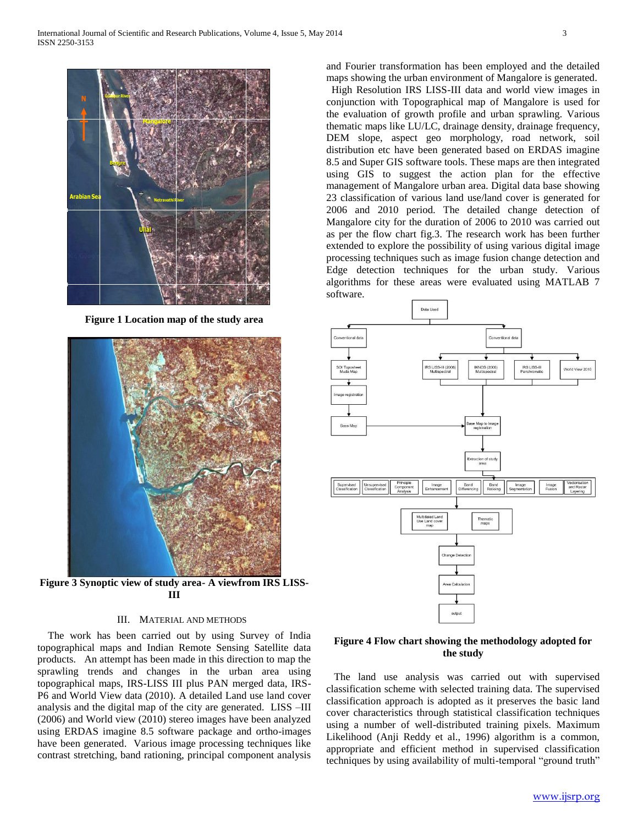

**Figure 1 Location map of the study area**



**Figure 3 Synoptic view of study area- A viewfrom IRS LISS-III**

### III. MATERIAL AND METHODS

 The work has been carried out by using Survey of India topographical maps and Indian Remote Sensing Satellite data products. An attempt has been made in this direction to map the sprawling trends and changes in the urban area using topographical maps, IRS-LISS III plus PAN merged data, IRS-P6 and World View data (2010). A detailed Land use land cover analysis and the digital map of the city are generated. LISS –III (2006) and World view (2010) stereo images have been analyzed using ERDAS imagine 8.5 software package and ortho-images have been generated. Various image processing techniques like contrast stretching, band rationing, principal component analysis

and Fourier transformation has been employed and the detailed maps showing the urban environment of Mangalore is generated.

 High Resolution IRS LISS-III data and world view images in conjunction with Topographical map of Mangalore is used for the evaluation of growth profile and urban sprawling. Various thematic maps like LU/LC, drainage density, drainage frequency, DEM slope, aspect geo morphology, road network, soil distribution etc have been generated based on ERDAS imagine 8.5 and Super GIS software tools. These maps are then integrated using GIS to suggest the action plan for the effective management of Mangalore urban area. Digital data base showing 23 classification of various land use/land cover is generated for 2006 and 2010 period. The detailed change detection of Mangalore city for the duration of 2006 to 2010 was carried out as per the flow chart fig.3. The research work has been further extended to explore the possibility of using various digital image processing techniques such as image fusion change detection and Edge detection techniques for the urban study. Various algorithms for these areas were evaluated using MATLAB 7 software.



# **Figure 4 Flow chart showing the methodology adopted for the study**

 The land use analysis was carried out with supervised classification scheme with selected training data. The supervised classification approach is adopted as it preserves the basic land cover characteristics through statistical classification techniques using a number of well-distributed training pixels. Maximum Likelihood (Anji Reddy et al., 1996) algorithm is a common, appropriate and efficient method in supervised classification techniques by using availability of multi-temporal "ground truth"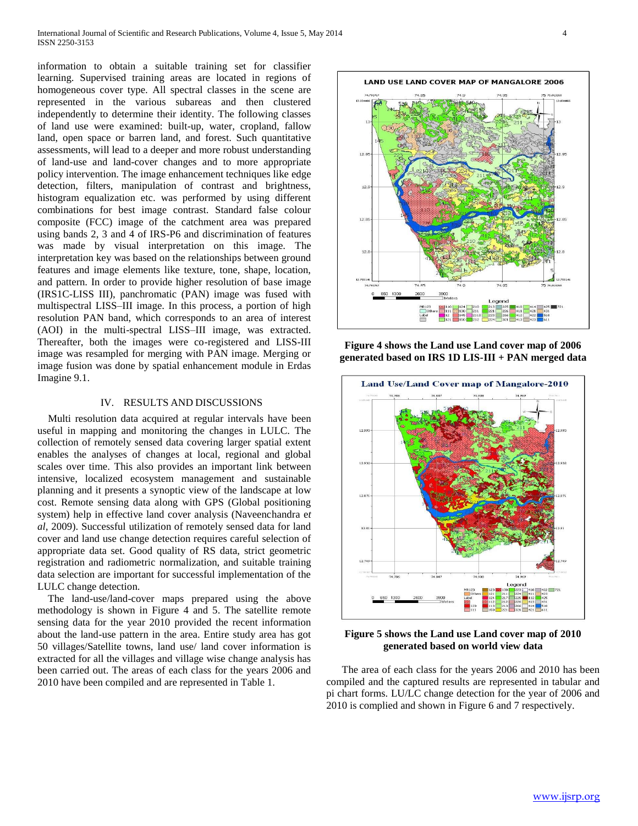information to obtain a suitable training set for classifier learning. Supervised training areas are located in regions of homogeneous cover type. All spectral classes in the scene are represented in the various subareas and then clustered independently to determine their identity. The following classes of land use were examined: built-up, water, cropland, fallow land, open space or barren land, and forest. Such quantitative assessments, will lead to a deeper and more robust understanding of land-use and land-cover changes and to more appropriate policy intervention. The image enhancement techniques like edge detection, filters, manipulation of contrast and brightness, histogram equalization etc. was performed by using different combinations for best image contrast. Standard false colour composite (FCC) image of the catchment area was prepared using bands 2, 3 and 4 of IRS-P6 and discrimination of features was made by visual interpretation on this image. The interpretation key was based on the relationships between ground features and image elements like texture, tone, shape, location, and pattern. In order to provide higher resolution of base image (IRS1C-LISS III), panchromatic (PAN) image was fused with multispectral LISS–III image. In this process, a portion of high resolution PAN band, which corresponds to an area of interest (AOI) in the multi-spectral LISS–III image, was extracted. Thereafter, both the images were co-registered and LISS-III image was resampled for merging with PAN image. Merging or image fusion was done by spatial enhancement module in Erdas Imagine 9.1.

### IV. RESULTS AND DISCUSSIONS

 Multi resolution data acquired at regular intervals have been useful in mapping and monitoring the changes in LULC. The collection of remotely sensed data covering larger spatial extent enables the analyses of changes at local, regional and global scales over time. This also provides an important link between intensive, localized ecosystem management and sustainable planning and it presents a synoptic view of the landscape at low cost. Remote sensing data along with GPS (Global positioning system) help in effective land cover analysis (Naveenchandra e*t al,* 2009). Successful utilization of remotely sensed data for land cover and land use change detection requires careful selection of appropriate data set. Good quality of RS data, strict geometric registration and radiometric normalization, and suitable training data selection are important for successful implementation of the LULC change detection.

 The land-use/land-cover maps prepared using the above methodology is shown in Figure 4 and 5. The satellite remote sensing data for the year 2010 provided the recent information about the land-use pattern in the area. Entire study area has got 50 villages/Satellite towns, land use/ land cover information is extracted for all the villages and village wise change analysis has been carried out. The areas of each class for the years 2006 and 2010 have been compiled and are represented in Table 1.



**Figure 4 shows the Land use Land cover map of 2006 generated based on IRS 1D LIS-III + PAN merged data**



**Figure 5 shows the Land use Land cover map of 2010 generated based on world view data**

 The area of each class for the years 2006 and 2010 has been compiled and the captured results are represented in tabular and pi chart forms. LU/LC change detection for the year of 2006 and 2010 is complied and shown in Figure 6 and 7 respectively.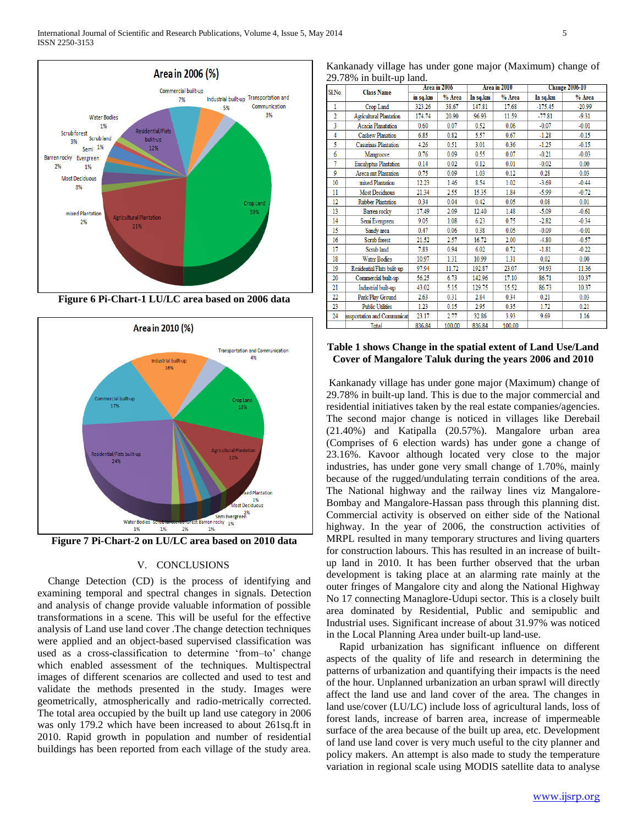



**Figure 7 Pi-Chart-2 on LU/LC area based on 2010 data**

# V. CONCLUSIONS

 Change Detection (CD) is the process of identifying and examining temporal and spectral changes in signals. Detection and analysis of change provide valuable information of possible transformations in a scene. This will be useful for the effective analysis of Land use land cover .The change detection techniques were applied and an object-based supervised classification was used as a cross-classification to determine 'from–to' change which enabled assessment of the techniques. Multispectral images of different scenarios are collected and used to test and validate the methods presented in the study. Images were geometrically, atmospherically and radio-metrically corrected. The total area occupied by the built up land use category in 2006 was only 179.2 which have been increased to about 261sq.ft in 2010. Rapid growth in population and number of residential buildings has been reported from each village of the study area.

Kankanady village has under gone major (Maximum) change of 29.78% in built-up land.

| Sl.No.                  | $22.7876$ m sam ap nan<br><b>Class Name</b> | Area in 2006 |        | Area in 2010 |        | <b>Change 2006-10</b> |          |
|-------------------------|---------------------------------------------|--------------|--------|--------------|--------|-----------------------|----------|
|                         |                                             | in sq.km     | % Area | In sq.km     | % Area | In sq.km              | % Area   |
| 1                       | Crop Land                                   | 323.26       | 38.67  | 147.81       | 17.68  | $-175.45$             | $-20.99$ |
| $\overline{2}$          | <b>Agricultural Plantation</b>              | 174.74       | 20.90  | 96.93        | 11.59  | $-77.81$              | $-9.31$  |
| $\overline{\mathbf{3}}$ | Acacia Planatation                          | 0.60         | 0.07   | 0.52         | 0.06   | $-0.07$               | $-0.01$  |
| 4                       | <b>Cashew Planation</b>                     | 6.85         | 0.82   | 5.57         | 0.67   | $-1.28$               | $-0.15$  |
| 5                       | Casurinas Plantation                        | 4.26         | 0.51   | 3.01         | 0.36   | $-1.25$               | $-0.15$  |
| 6                       | Mangroove                                   | 0.76         | 0.09   | 0.55         | 0.07   | $-0.21$               | $-0.03$  |
| 7                       | <b>Eucalyptus Plantation</b>                | 0.14         | 0.02   | 0.12         | 0.01   | $-0.02$               | 0.00     |
| 9                       | <b>Areca</b> nut Plantation                 | 0.75         | 0.09   | 1.03         | 0.12   | 0.28                  | 0.03     |
| 10                      | mixed Plantation                            | 12.23        | 1.46   | 8.54         | 1.02   | $-3.69$               | $-0.44$  |
| 11                      | <b>Most Deciduous</b>                       | 21.34        | 2.55   | 15.35        | 1.84   | $-5.99$               | $-0.72$  |
| 12                      | <b>Rubber Plantation</b>                    | 0.34         | 0.04   | 0.42         | 0.05   | 0.08                  | 0.01     |
| 13                      | Barren rocky                                | 17.49        | 2.09   | 12.40        | 1.48   | $-5.09$               | $-0.61$  |
| 14                      | Semi Evergreen                              | 9.05         | 1.08   | 6.23         | 0.75   | $-2.82$               | $-0.34$  |
| 15                      | Sandy area                                  | 0.47         | 0.06   | 0.38         | 0.05   | $-0.09$               | $-0.01$  |
| 16                      | Scrub forest                                | 21.52        | 2.57   | 16.72        | 2.00   | $-4.80$               | $-0.57$  |
| 17                      | Scrub land                                  | 7.83         | 0.94   | 6.02         | 0.72   | $-1.81$               | $-0.22$  |
| 18                      | <b>Water Bodies</b>                         | 10.97        | 1.31   | 10.99        | 1.31   | 0.02                  | 0.00     |
| 19                      | Residential/Flats bulit-up                  | 97.94        | 11.72  | 192.87       | 23.07  | 94.93                 | 11.36    |
| 20                      | Commercial built-up                         | 56.25        | 6.73   | 142.96       | 17.10  | 86.71                 | 10.37    |
| 21                      | Industrial built-up                         | 43.02        | 5.15   | 129.75       | 15.52  | 86.73                 | 10.37    |
| 22                      | Park/Play Ground                            | 2.63         | 0.31   | 2.84         | 0.34   | 0.21                  | 0.03     |
| 23                      | <b>Public Utilities</b>                     | 1.23         | 0.15   | 2.95         | 0.35   | 1.72                  | 0.21     |
| 24                      | ansportation and Communicat                 | 23.17        | 2.77   | 32.86        | 3.93   | 9.69                  | 1.16     |
|                         | <b>Total</b>                                | 836.84       | 100.00 | 836.84       | 100.00 |                       |          |

# **Table 1 shows Change in the spatial extent of Land Use/Land Cover of Mangalore Taluk during the years 2006 and 2010**

Kankanady village has under gone major (Maximum) change of 29.78% in built-up land. This is due to the major commercial and residential initiatives taken by the real estate companies/agencies. The second major change is noticed in villages like Derebail (21.40%) and Katipalla (20.57%). Mangalore urban area (Comprises of 6 election wards) has under gone a change of 23.16%. Kavoor although located very close to the major industries, has under gone very small change of 1.70%, mainly because of the rugged/undulating terrain conditions of the area. The National highway and the railway lines viz Mangalore-Bombay and Mangalore-Hassan pass through this planning dist. Commercial activity is observed on either side of the National highway. In the year of 2006, the construction activities of MRPL resulted in many temporary structures and living quarters for construction labours. This has resulted in an increase of builtup land in 2010. It has been further observed that the urban development is taking place at an alarming rate mainly at the outer fringes of Mangalore city and along the National Highway No 17 connecting Managlore-Udupi sector. This is a closely built area dominated by Residential, Public and semipublic and Industrial uses. Significant increase of about 31.97% was noticed in the Local Planning Area under built-up land-use.

 Rapid urbanization has significant influence on different aspects of the quality of life and research in determining the patterns of urbanization and quantifying their impacts is the need of the hour. Unplanned urbanization an urban sprawl will directly affect the land use and land cover of the area. The changes in land use/cover (LU/LC) include loss of agricultural lands, loss of forest lands, increase of barren area, increase of impermeable surface of the area because of the built up area, etc. Development of land use land cover is very much useful to the city planner and policy makers. An attempt is also made to study the temperature variation in regional scale using MODIS satellite data to analyse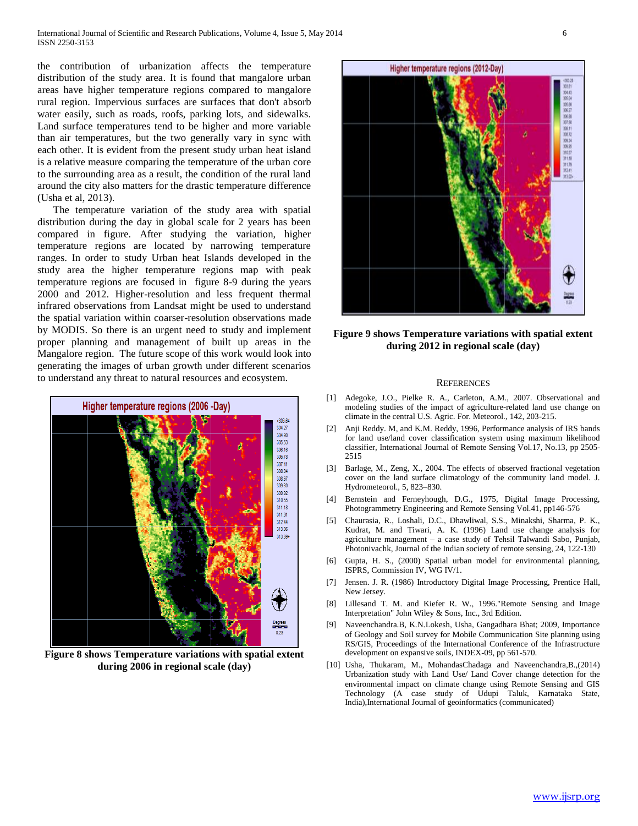the contribution of urbanization affects the temperature distribution of the study area. It is found that mangalore urban areas have higher temperature regions compared to mangalore rural region. Impervious surfaces are surfaces that don't absorb water easily, such as roads, roofs, parking lots, and sidewalks. Land surface temperatures tend to be higher and more variable than air temperatures, but the two generally vary in sync with each other. It is evident from the present study urban heat island is a relative measure comparing the temperature of the urban core to the surrounding area as a result, the condition of the rural land around the city also matters for the drastic temperature difference (Usha et al, 2013).

 The temperature variation of the study area with spatial distribution during the day in global scale for 2 years has been compared in figure. After studying the variation, higher temperature regions are located by narrowing temperature ranges. In order to study Urban heat Islands developed in the study area the higher temperature regions map with peak temperature regions are focused in figure 8-9 during the years 2000 and 2012. Higher-resolution and less frequent thermal infrared observations from Landsat might be used to understand the spatial variation within coarser-resolution observations made by MODIS. So there is an urgent need to study and implement proper planning and management of built up areas in the Mangalore region. The future scope of this work would look into generating the images of urban growth under different scenarios to understand any threat to natural resources and ecosystem.



**Figure 8 shows Temperature variations with spatial extent during 2006 in regional scale (day)**



**Figure 9 shows Temperature variations with spatial extent during 2012 in regional scale (day)**

#### **REFERENCES**

- [1] Adegoke, J.O., Pielke R. A., Carleton, A.M., 2007. Observational and modeling studies of the impact of agriculture-related land use change on climate in the central U.S. Agric. For. Meteorol., 142, 203-215.
- [2] Anji Reddy. M, and K.M. Reddy, 1996, Performance analysis of IRS bands for land use/land cover classification system using maximum likelihood classifier, International Journal of Remote Sensing Vol.17, No.13, pp 2505- 2515
- [3] Barlage, M., Zeng, X., 2004. The effects of observed fractional vegetation cover on the land surface climatology of the community land model. J. Hydrometeorol., 5, 823–830.
- [4] Bernstein and Ferneyhough, D.G., 1975, Digital Image Processing, Photogrammetry Engineering and Remote Sensing Vol.41, pp146-576
- [5] Chaurasia, R., Loshali, D.C., Dhawliwal, S.S., Minakshi, Sharma, P. K., Kudrat, M. and Tiwari, A. K. (1996) Land use change analysis for agriculture management – a case study of Tehsil Talwandi Sabo, Punjab, Photonivachk, Journal of the Indian society of remote sensing, 24, 122-130
- [6] Gupta, H. S., (2000) Spatial urban model for environmental planning, ISPRS, Commission IV, WG IV/1.
- [7] Jensen. J. R. (1986) Introductory Digital Image Processing, Prentice Hall, New Jersey.
- [8] Lillesand T. M. and Kiefer R. W., 1996."Remote Sensing and Image Interpretation" John Wiley & Sons, Inc., 3rd Edition.
- [9] Naveenchandra.B, K.N.Lokesh, Usha, Gangadhara Bhat; 2009, Importance of Geology and Soil survey for Mobile Communication Site planning using RS/GIS, Proceedings of the International Conference of the Infrastructure development on expansive soils, INDEX-09, pp 561-570.
- [10] Usha, Thukaram, M., MohandasChadaga and Naveenchandra,B.,(2014) Urbanization study with Land Use/ Land Cover change detection for the environmental impact on climate change using Remote Sensing and GIS Technology (A case study of Udupi Taluk, Karnataka State, India),International Journal of geoinformatics (communicated)